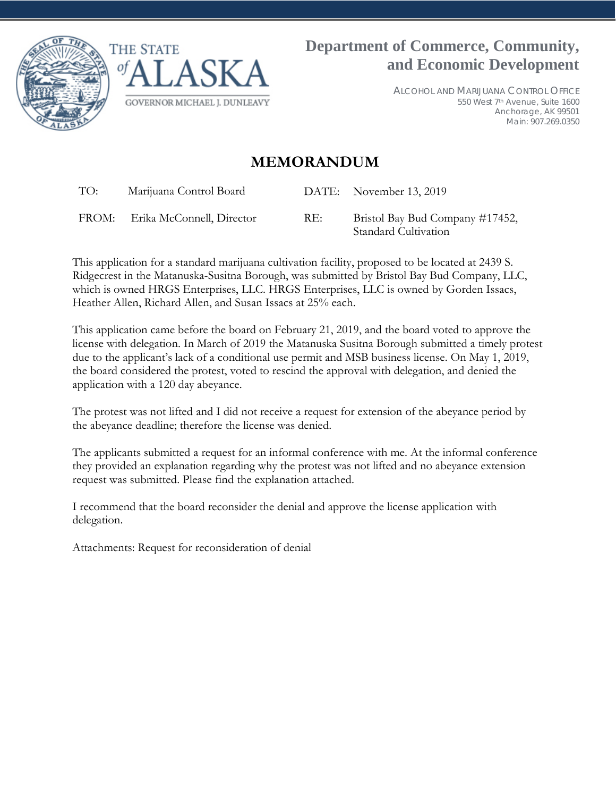



ALCOHOL AND MARIJUANA CONTROL OFFICE 550 West 7th Avenue, Suite 1600 Anchorage, AK 99501 Main: 907.269.0350

## **MEMORANDUM**

TO: Marijuana Control Board DATE: November 13, 2019 FROM: Erika McConnell, Director RE: Bristol Bay Bud Company #17452,

Standard Cultivation This application for a standard marijuana cultivation facility, proposed to be located at 2439 S. Ridgecrest in the Matanuska-Susitna Borough, was submitted by Bristol Bay Bud Company, LLC, which is owned HRGS Enterprises, LLC. HRGS Enterprises, LLC is owned by Gorden Issacs,

Heather Allen, Richard Allen, and Susan Issacs at 25% each. This application came before the board on February 21, 2019, and the board voted to approve the license with delegation. In March of 2019 the Matanuska Susitna Borough submitted a timely protest

due to the applicant's lack of a conditional use permit and MSB business license. On May 1, 2019, the board considered the protest, voted to rescind the approval with delegation, and denied the application with a 120 day abeyance.

The protest was not lifted and I did not receive a request for extension of the abeyance period by the abeyance deadline; therefore the license was denied.

The applicants submitted a request for an informal conference with me. At the informal conference they provided an explanation regarding why the protest was not lifted and no abeyance extension request was submitted. Please find the explanation attached.

I recommend that the board reconsider the denial and approve the license application with delegation.

Attachments: Request for reconsideration of denial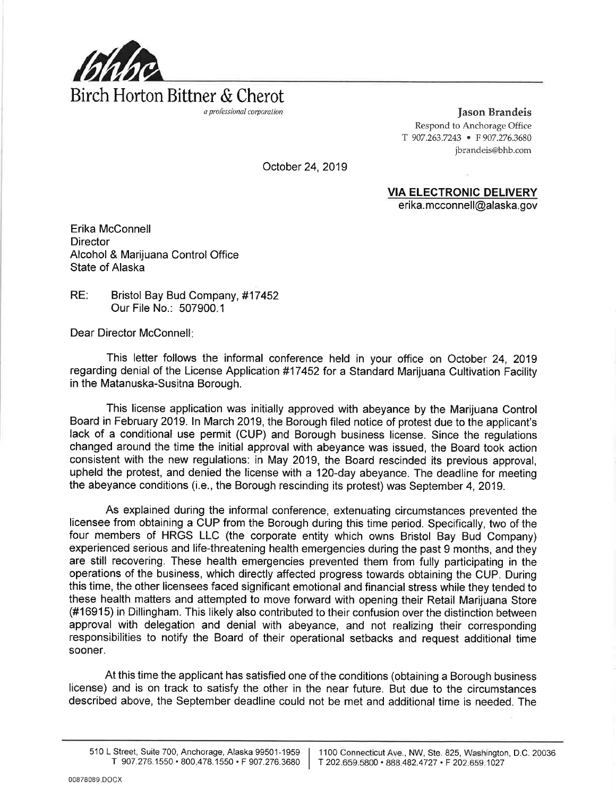

**Jason Brandeis** Respond to Anchorage Office T 907.263.7243 • F 907.276.3680 jbrandeis@bhb.com

October 24, 2019

**VIA ELECTRONIC DELIVERY** 

erika.mcconnell@alaska.gov

Erika McConnell **Director** Alcohol & Marijuana Control Office State of Alaska

RE: Bristol Bay Bud Company, #17452 Our File No.: 507900.1

Dear Director McConnell:

This letter follows the informal conference held in your office on October 24, 2019 regarding denial of the License Application #17452 for a Standard Marijuana Cultivation Facility in the Matanuska-Susitna Borough.

This license application was initially approved with abeyance by the Marijuana Control Board in February 2019. In March 2019, the Borough filed notice of protest due to the applicant's lack of a conditional use permit (CUP) and Borough business license. Since the regulations changed around the time the initial approval with abeyance was issued, the Board took action consistent with the new regulations: in May 2019, the Board rescinded its previous approval, upheld the protest, and denied the license with a 120-day abevance. The deadline for meeting the abeyance conditions (i.e., the Borough rescinding its protest) was September 4, 2019.

As explained during the informal conference, extenuating circumstances prevented the licensee from obtaining a CUP from the Borough during this time period. Specifically, two of the four members of HRGS LLC (the corporate entity which owns Bristol Bay Bud Company) experienced serious and life-threatening health emergencies during the past 9 months, and they are still recovering. These health emergencies prevented them from fully participating in the operations of the business, which directly affected progress towards obtaining the CUP. During this time, the other licensees faced significant emotional and financial stress while they tended to these health matters and attempted to move forward with opening their Retail Marijuana Store (#16915) in Dillingham. This likely also contributed to their confusion over the distinction between approval with delegation and denial with abeyance, and not realizing their corresponding responsibilities to notify the Board of their operational setbacks and request additional time sooner.

At this time the applicant has satisfied one of the conditions (obtaining a Borough business license) and is on track to satisfy the other in the near future. But due to the circumstances described above, the September deadline could not be met and additional time is needed. The